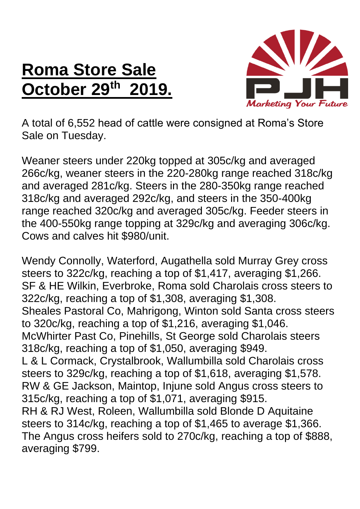## **Roma Store Sale October 29 th 2019.**



A total of 6,552 head of cattle were consigned at Roma's Store Sale on Tuesday.

Weaner steers under 220kg topped at 305c/kg and averaged 266c/kg, weaner steers in the 220-280kg range reached 318c/kg and averaged 281c/kg. Steers in the 280-350kg range reached 318c/kg and averaged 292c/kg, and steers in the 350-400kg range reached 320c/kg and averaged 305c/kg. Feeder steers in the 400-550kg range topping at 329c/kg and averaging 306c/kg. Cows and calves hit \$980/unit.

Wendy Connolly, Waterford, Augathella sold Murray Grey cross steers to 322c/kg, reaching a top of \$1,417, averaging \$1,266. SF & HE Wilkin, Everbroke, Roma sold Charolais cross steers to 322c/kg, reaching a top of \$1,308, averaging \$1,308. Sheales Pastoral Co, Mahrigong, Winton sold Santa cross steers to 320c/kg, reaching a top of \$1,216, averaging \$1,046. McWhirter Past Co, Pinehills, St George sold Charolais steers 318c/kg, reaching a top of \$1,050, averaging \$949. L & L Cormack, Crystalbrook, Wallumbilla sold Charolais cross steers to 329c/kg, reaching a top of \$1,618, averaging \$1,578. RW & GE Jackson, Maintop, Injune sold Angus cross steers to 315c/kg, reaching a top of \$1,071, averaging \$915. RH & RJ West, Roleen, Wallumbilla sold Blonde D Aquitaine steers to 314c/kg, reaching a top of \$1,465 to average \$1,366. The Angus cross heifers sold to 270c/kg, reaching a top of \$888, averaging \$799.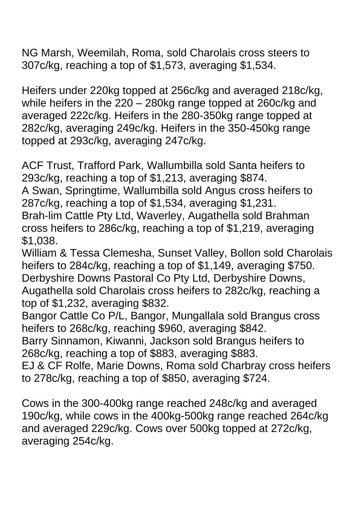NG Marsh, Weemilah, Roma, sold Charolais cross steers to 307c/kg, reaching a top of \$1,573, averaging \$1,534.

Heifers under 220kg topped at 256c/kg and averaged 218c/kg, while heifers in the 220 – 280kg range topped at 260c/kg and averaged 222c/kg. Heifers in the 280-350kg range topped at 282c/kg, averaging 249c/kg. Heifers in the 350-450kg range topped at 293c/kg, averaging 247c/kg.

ACF Trust, Trafford Park, Wallumbilla sold Santa heifers to 293c/kg, reaching a top of \$1,213, averaging \$874.

A Swan, Springtime, Wallumbilla sold Angus cross heifers to 287c/kg, reaching a top of \$1,534, averaging \$1,231.

Brah-lim Cattle Pty Ltd, Waverley, Augathella sold Brahman cross heifers to 286c/kg, reaching a top of \$1,219, averaging \$1,038.

William & Tessa Clemesha, Sunset Valley, Bollon sold Charolais heifers to 284c/kg, reaching a top of \$1,149, averaging \$750. Derbyshire Downs Pastoral Co Pty Ltd, Derbyshire Downs, Augathella sold Charolais cross heifers to 282c/kg, reaching a top of \$1,232, averaging \$832.

Bangor Cattle Co P/L, Bangor, Mungallala sold Brangus cross heifers to 268c/kg, reaching \$960, averaging \$842.

Barry Sinnamon, Kiwanni, Jackson sold Brangus heifers to 268c/kg, reaching a top of \$883, averaging \$883.

EJ & CF Rolfe, Marie Downs, Roma sold Charbray cross heifers to 278c/kg, reaching a top of \$850, averaging \$724.

Cows in the 300-400kg range reached 248c/kg and averaged 190c/kg, while cows in the 400kg-500kg range reached 264c/kg and averaged 229c/kg. Cows over 500kg topped at 272c/kg, averaging 254c/kg.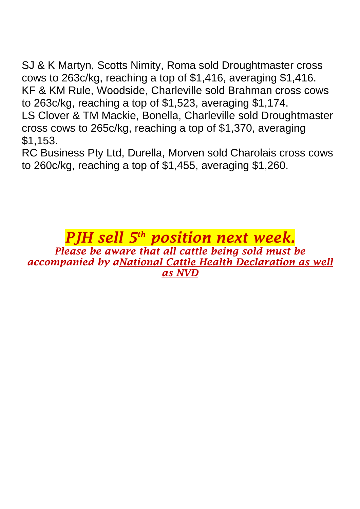SJ & K Martyn, Scotts Nimity, Roma sold Droughtmaster cross cows to 263c/kg, reaching a top of \$1,416, averaging \$1,416. KF & KM Rule, Woodside, Charleville sold Brahman cross cows to 263c/kg, reaching a top of \$1,523, averaging \$1,174. LS Clover & TM Mackie, Bonella, Charleville sold Droughtmaster cross cows to 265c/kg, reaching a top of \$1,370, averaging \$1,153.

RC Business Pty Ltd, Durella, Morven sold Charolais cross cows to 260c/kg, reaching a top of \$1,455, averaging \$1,260.

## *PJH sell 5 th position next week. Please be aware that all cattle being sold must be accompanied by aNational Cattle Health Declaration as well as NVD*